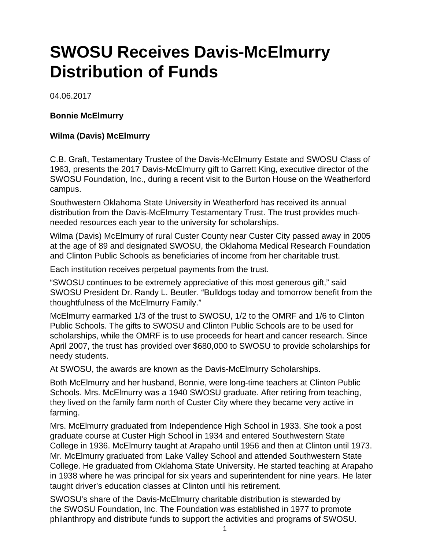## **SWOSU Receives Davis-McElmurry Distribution of Funds**

04.06.2017

## **Bonnie McElmurry**

## **Wilma (Davis) McElmurry**

C.B. Graft, Testamentary Trustee of the Davis-McElmurry Estate and SWOSU Class of 1963, presents the 2017 Davis-McElmurry gift to Garrett King, executive director of the SWOSU Foundation, Inc., during a recent visit to the Burton House on the Weatherford campus.

Southwestern Oklahoma State University in Weatherford has received its annual distribution from the Davis-McElmurry Testamentary Trust. The trust provides muchneeded resources each year to the university for scholarships.

Wilma (Davis) McElmurry of rural Custer County near Custer City passed away in 2005 at the age of 89 and designated SWOSU, the Oklahoma Medical Research Foundation and Clinton Public Schools as beneficiaries of income from her charitable trust.

Each institution receives perpetual payments from the trust.

"SWOSU continues to be extremely appreciative of this most generous gift," said SWOSU President Dr. Randy L. Beutler. "Bulldogs today and tomorrow benefit from the thoughtfulness of the McElmurry Family."

McElmurry earmarked 1/3 of the trust to SWOSU, 1/2 to the OMRF and 1/6 to Clinton Public Schools. The gifts to SWOSU and Clinton Public Schools are to be used for scholarships, while the OMRF is to use proceeds for heart and cancer research. Since April 2007, the trust has provided over \$680,000 to SWOSU to provide scholarships for needy students.

At SWOSU, the awards are known as the Davis-McElmurry Scholarships.

Both McElmurry and her husband, Bonnie, were long-time teachers at Clinton Public Schools. Mrs. McElmurry was a 1940 SWOSU graduate. After retiring from teaching, they lived on the family farm north of Custer City where they became very active in farming.

Mrs. McElmurry graduated from Independence High School in 1933. She took a post graduate course at Custer High School in 1934 and entered Southwestern State College in 1936. McElmurry taught at Arapaho until 1956 and then at Clinton until 1973. Mr. McElmurry graduated from Lake Valley School and attended Southwestern State College. He graduated from Oklahoma State University. He started teaching at Arapaho in 1938 where he was principal for six years and superintendent for nine years. He later taught driver's education classes at Clinton until his retirement.

SWOSU's share of the Davis-McElmurry charitable distribution is stewarded by the SWOSU Foundation, Inc. The Foundation was established in 1977 to promote philanthropy and distribute funds to support the activities and programs of SWOSU.